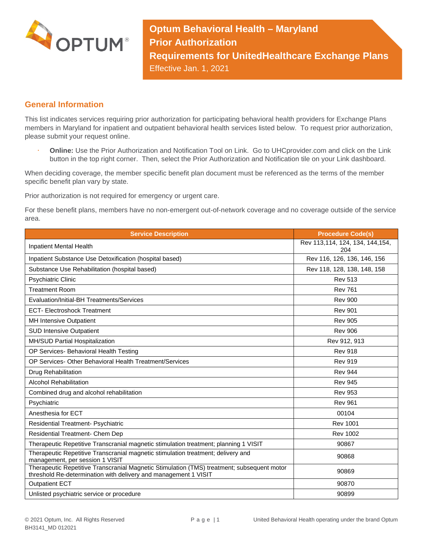

**Optum Behavioral Health – Maryland Prior Authorization Requirements for UnitedHealthcare Exchange Plans** Effective Jan. 1, 2021

## **General Information**

This list indicates services requiring prior authorization for participating behavioral health providers for Exchange Plans members in Maryland for inpatient and outpatient behavioral health services listed below. To request prior authorization, please submit your request online.

 **Online:** Use the Prior Authorization and Notification Tool on Link. Go to UHCprovider.com and click on the Link button in the top right corner. Then, select the Prior Authorization and Notification tile on your Link dashboard.

When deciding coverage, the member specific benefit plan document must be referenced as the terms of the member specific benefit plan vary by state.

Prior authorization is not required for emergency or urgent care.

For these benefit plans, members have no non-emergent out-of-network coverage and no coverage outside of the service area.

| <b>Service Description</b>                                                                                                                                    | <b>Procedure Code(s)</b>                 |
|---------------------------------------------------------------------------------------------------------------------------------------------------------------|------------------------------------------|
| Inpatient Mental Health                                                                                                                                       | Rev 113, 114, 124, 134, 144, 154,<br>204 |
| Inpatient Substance Use Detoxification (hospital based)                                                                                                       | Rev 116, 126, 136, 146, 156              |
| Substance Use Rehabilitation (hospital based)                                                                                                                 | Rev 118, 128, 138, 148, 158              |
| <b>Psychiatric Clinic</b>                                                                                                                                     | <b>Rev 513</b>                           |
| <b>Treatment Room</b>                                                                                                                                         | <b>Rev 761</b>                           |
| Evaluation/Initial-BH Treatments/Services                                                                                                                     | <b>Rev 900</b>                           |
| <b>ECT- Electroshock Treatment</b>                                                                                                                            | <b>Rev 901</b>                           |
| MH Intensive Outpatient                                                                                                                                       | <b>Rev 905</b>                           |
| <b>SUD Intensive Outpatient</b>                                                                                                                               | <b>Rev 906</b>                           |
| MH/SUD Partial Hospitalization                                                                                                                                | Rev 912, 913                             |
| OP Services- Behavioral Health Testing                                                                                                                        | <b>Rev 918</b>                           |
| OP Services- Other Behavioral Health Treatment/Services                                                                                                       | <b>Rev 919</b>                           |
| Drug Rehabilitation                                                                                                                                           | <b>Rev 944</b>                           |
| <b>Alcohol Rehabilitation</b>                                                                                                                                 | <b>Rev 945</b>                           |
| Combined drug and alcohol rehabilitation                                                                                                                      | <b>Rev 953</b>                           |
| Psychiatric                                                                                                                                                   | <b>Rev 961</b>                           |
| Anesthesia for ECT                                                                                                                                            | 00104                                    |
| Residential Treatment- Psychiatric                                                                                                                            | <b>Rev 1001</b>                          |
| Residential Treatment- Chem Dep                                                                                                                               | <b>Rev 1002</b>                          |
| Therapeutic Repetitive Transcranial magnetic stimulation treatment; planning 1 VISIT                                                                          | 90867                                    |
| Therapeutic Repetitive Transcranial magnetic stimulation treatment; delivery and<br>management, per session 1 VISIT                                           | 90868                                    |
| Therapeutic Repetitive Transcranial Magnetic Stimulation (TMS) treatment; subsequent motor<br>threshold Re-determination with delivery and management 1 VISIT | 90869                                    |
| <b>Outpatient ECT</b>                                                                                                                                         | 90870                                    |
| Unlisted psychiatric service or procedure                                                                                                                     | 90899                                    |